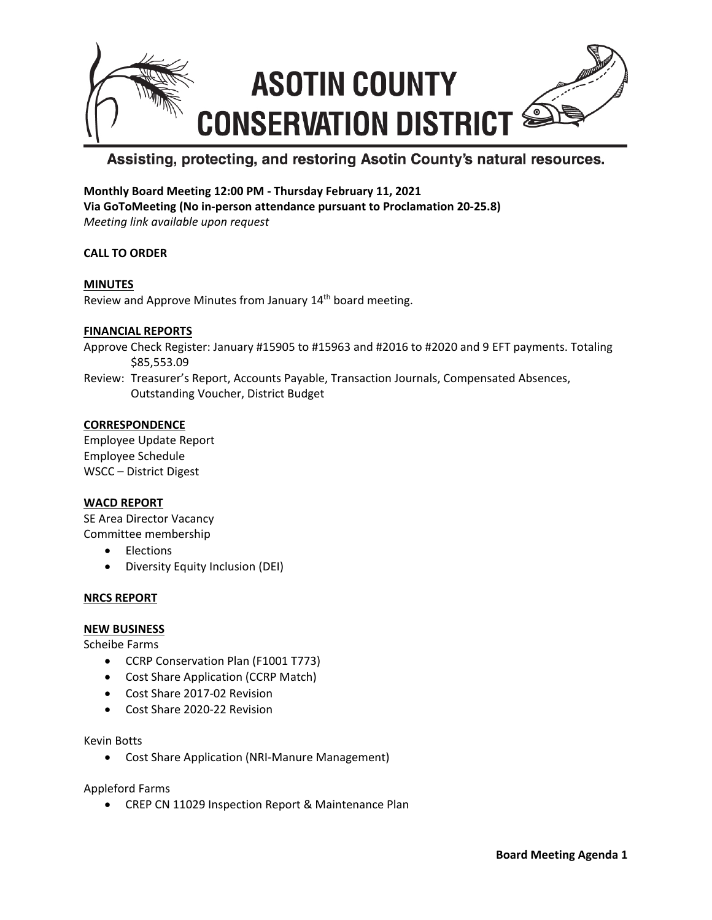

# Assisting, protecting, and restoring Asotin County's natural resources.

# **Monthly Board Meeting 12:00 PM - Thursday February 11, 2021**

**Via GoToMeeting (No in-person attendance pursuant to Proclamation 20-25.8)** *Meeting link available upon request*

## **CALL TO ORDER**

#### **MINUTES** Review and Approve Minutes from January 14<sup>th</sup> board meeting.

#### **FINANCIAL REPORTS**

Approve Check Register: January #15905 to #15963 and #2016 to #2020 and 9 EFT payments. Totaling \$85,553.09

Review: Treasurer's Report, Accounts Payable, Transaction Journals, Compensated Absences, Outstanding Voucher, District Budget

#### **CORRESPONDENCE**

Employee Update Report Employee Schedule WSCC – District Digest

#### **WACD REPORT**

SE Area Director Vacancy Committee membership

- Elections
- Diversity Equity Inclusion (DEI)

#### **NRCS REPORT**

#### **NEW BUSINESS**

Scheibe Farms

- CCRP Conservation Plan (F1001 T773)
- Cost Share Application (CCRP Match)
- Cost Share 2017-02 Revision
- Cost Share 2020-22 Revision

Kevin Botts

• Cost Share Application (NRI-Manure Management)

Appleford Farms

• CREP CN 11029 Inspection Report & Maintenance Plan